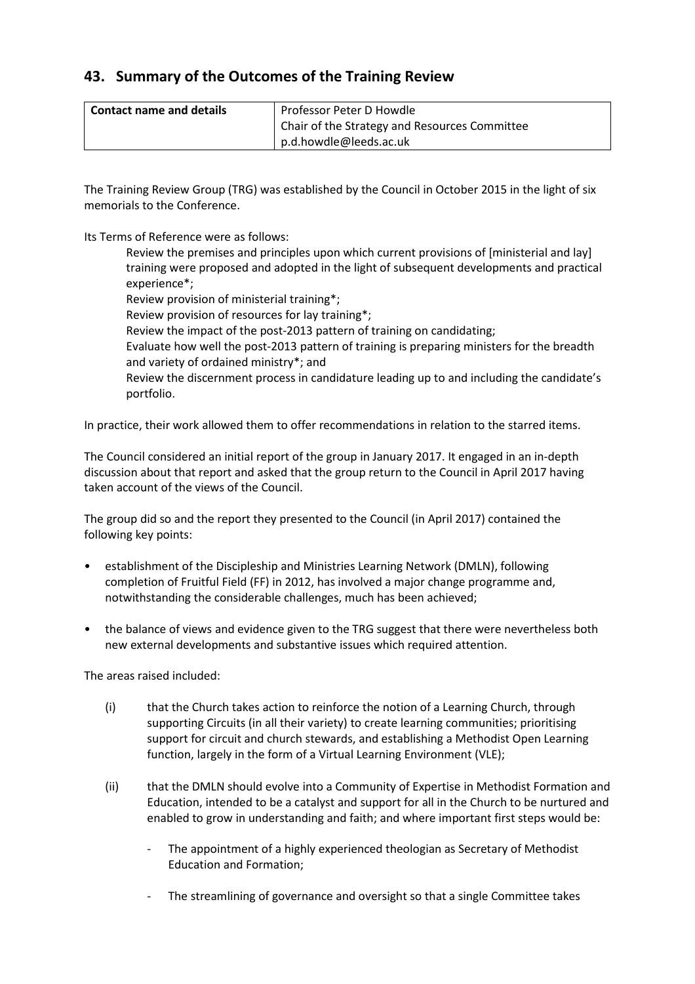## **43. Summary of the Outcomes of the Training Review**

| l Contact name and details | Professor Peter D Howdle                      |
|----------------------------|-----------------------------------------------|
|                            | Chair of the Strategy and Resources Committee |
|                            | p.d.howdle@leeds.ac.uk                        |

The Training Review Group (TRG) was established by the Council in October 2015 in the light of six memorials to the Conference.

Its Terms of Reference were as follows:

Review the premises and principles upon which current provisions of [ministerial and lay] training were proposed and adopted in the light of subsequent developments and practical experience\*; Review provision of ministerial training\*; Review provision of resources for lay training\*; Review the impact of the post-2013 pattern of training on candidating; Evaluate how well the post-2013 pattern of training is preparing ministers for the breadth and variety of ordained ministry\*; and Review the discernment process in candidature leading up to and including the candidate's portfolio.

In practice, their work allowed them to offer recommendations in relation to the starred items.

The Council considered an initial report of the group in January 2017. It engaged in an in-depth discussion about that report and asked that the group return to the Council in April 2017 having taken account of the views of the Council.

The group did so and the report they presented to the Council (in April 2017) contained the following key points:

- establishment of the Discipleship and Ministries Learning Network (DMLN), following completion of Fruitful Field (FF) in 2012, has involved a major change programme and, notwithstanding the considerable challenges, much has been achieved;
- the balance of views and evidence given to the TRG suggest that there were nevertheless both new external developments and substantive issues which required attention.

The areas raised included:

- (i) that the Church takes action to reinforce the notion of a Learning Church, through supporting Circuits (in all their variety) to create learning communities; prioritising support for circuit and church stewards, and establishing a Methodist Open Learning function, largely in the form of a Virtual Learning Environment (VLE);
- (ii) that the DMLN should evolve into a Community of Expertise in Methodist Formation and Education, intended to be a catalyst and support for all in the Church to be nurtured and enabled to grow in understanding and faith; and where important first steps would be:
	- The appointment of a highly experienced theologian as Secretary of Methodist Education and Formation;
	- The streamlining of governance and oversight so that a single Committee takes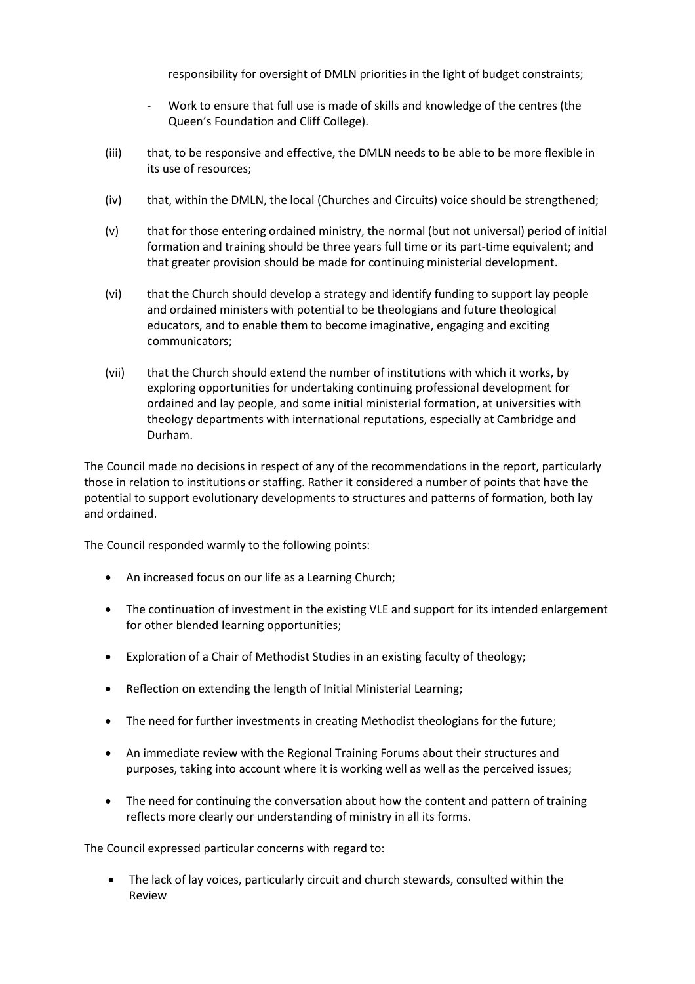responsibility for oversight of DMLN priorities in the light of budget constraints;

- Work to ensure that full use is made of skills and knowledge of the centres (the Queen's Foundation and Cliff College).
- (iii) that, to be responsive and effective, the DMLN needs to be able to be more flexible in its use of resources;
- (iv) that, within the DMLN, the local (Churches and Circuits) voice should be strengthened;
- (v) that for those entering ordained ministry, the normal (but not universal) period of initial formation and training should be three years full time or its part-time equivalent; and that greater provision should be made for continuing ministerial development.
- (vi) that the Church should develop a strategy and identify funding to support lay people and ordained ministers with potential to be theologians and future theological educators, and to enable them to become imaginative, engaging and exciting communicators;
- (vii) that the Church should extend the number of institutions with which it works, by exploring opportunities for undertaking continuing professional development for ordained and lay people, and some initial ministerial formation, at universities with theology departments with international reputations, especially at Cambridge and Durham.

The Council made no decisions in respect of any of the recommendations in the report, particularly those in relation to institutions or staffing. Rather it considered a number of points that have the potential to support evolutionary developments to structures and patterns of formation, both lay and ordained.

The Council responded warmly to the following points:

- An increased focus on our life as a Learning Church;
- The continuation of investment in the existing VLE and support for its intended enlargement for other blended learning opportunities;
- Exploration of a Chair of Methodist Studies in an existing faculty of theology;
- Reflection on extending the length of Initial Ministerial Learning;
- The need for further investments in creating Methodist theologians for the future;
- An immediate review with the Regional Training Forums about their structures and purposes, taking into account where it is working well as well as the perceived issues;
- The need for continuing the conversation about how the content and pattern of training reflects more clearly our understanding of ministry in all its forms.

The Council expressed particular concerns with regard to:

 The lack of lay voices, particularly circuit and church stewards, consulted within the Review